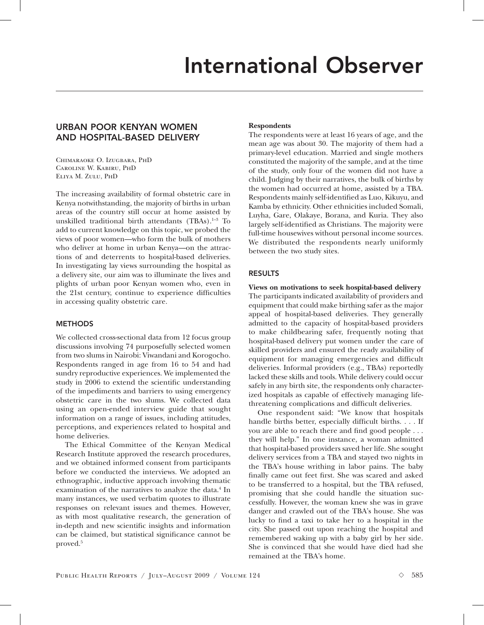# Urban Poor Kenyan Women and Hospital-Based Delivery

Chimaraoke O. Izugbara, PhD Caroline W. Kabiru, PhD Eliya M. Zulu, PhD

The increasing availability of formal obstetric care in Kenya notwithstanding, the majority of births in urban areas of the country still occur at home assisted by unskilled traditional birth attendants  $(TBAs).<sup>1-3</sup>$  To add to current knowledge on this topic, we probed the views of poor women—who form the bulk of mothers who deliver at home in urban Kenya—on the attractions of and deterrents to hospital-based deliveries. In investigating lay views surrounding the hospital as a delivery site, our aim was to illuminate the lives and plights of urban poor Kenyan women who, even in the 21st century, continue to experience difficulties in accessing quality obstetric care.

# **METHODS**

We collected cross-sectional data from 12 focus group discussions involving 74 purposefully selected women from two slums in Nairobi: Viwandani and Korogocho. Respondents ranged in age from 16 to 54 and had sundry reproductive experiences. We implemented the study in 2006 to extend the scientific understanding of the impediments and barriers to using emergency obstetric care in the two slums. We collected data using an open-ended interview guide that sought information on a range of issues, including attitudes, perceptions, and experiences related to hospital and home deliveries.

The Ethical Committee of the Kenyan Medical Research Institute approved the research procedures, and we obtained informed consent from participants before we conducted the interviews. We adopted an ethnographic, inductive approach involving thematic examination of the narratives to analyze the data.<sup>4</sup> In many instances, we used verbatim quotes to illustrate responses on relevant issues and themes. However, as with most qualitative research, the generation of in-depth and new scientific insights and information can be claimed, but statistical significance cannot be proved.5

## **Respondents**

The respondents were at least 16 years of age, and the mean age was about 30. The majority of them had a primary-level education. Married and single mothers constituted the majority of the sample, and at the time of the study, only four of the women did not have a child. Judging by their narratives, the bulk of births by the women had occurred at home, assisted by a TBA. Respondents mainly self-identified as Luo, Kikuyu, and Kamba by ethnicity. Other ethnicities included Somali, Luyha, Gare, Olakaye, Borana, and Kuria. They also largely self-identified as Christians. The majority were full-time housewives without personal income sources. We distributed the respondents nearly uniformly between the two study sites.

## RESULTS

**Views on motivations to seek hospital-based delivery**  The participants indicated availability of providers and equipment that could make birthing safer as the major appeal of hospital-based deliveries. They generally admitted to the capacity of hospital-based providers to make childbearing safer, frequently noting that hospital-based delivery put women under the care of skilled providers and ensured the ready availability of equipment for managing emergencies and difficult deliveries. Informal providers (e.g., TBAs) reportedly lacked these skills and tools. While delivery could occur safely in any birth site, the respondents only characterized hospitals as capable of effectively managing lifethreatening complications and difficult deliveries.

One respondent said: "We know that hospitals handle births better, especially difficult births. . . . If you are able to reach there and find good people . . . they will help." In one instance, a woman admitted that hospital-based providers saved her life. She sought delivery services from a TBA and stayed two nights in the TBA's house writhing in labor pains. The baby finally came out feet first. She was scared and asked to be transferred to a hospital, but the TBA refused, promising that she could handle the situation successfully. However, the woman knew she was in grave danger and crawled out of the TBA's house. She was lucky to find a taxi to take her to a hospital in the city. She passed out upon reaching the hospital and remembered waking up with a baby girl by her side. She is convinced that she would have died had she remained at the TBA's home.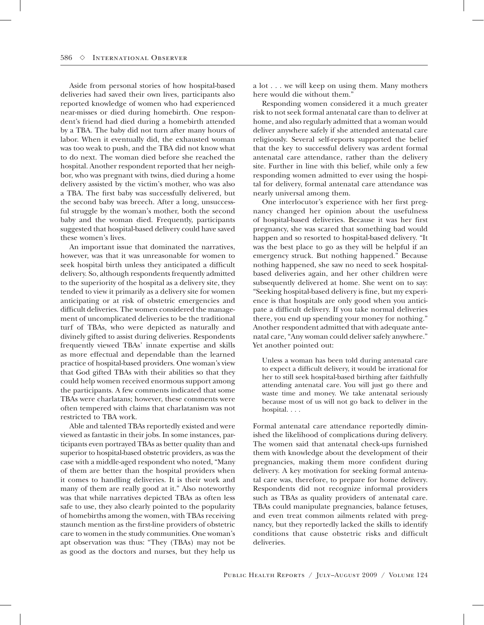Aside from personal stories of how hospital-based deliveries had saved their own lives, participants also reported knowledge of women who had experienced near-misses or died during homebirth. One respondent's friend had died during a homebirth attended by a TBA. The baby did not turn after many hours of labor. When it eventually did, the exhausted woman was too weak to push, and the TBA did not know what to do next. The woman died before she reached the hospital. Another respondent reported that her neighbor, who was pregnant with twins, died during a home delivery assisted by the victim's mother, who was also a TBA. The first baby was successfully delivered, but the second baby was breech. After a long, unsuccessful struggle by the woman's mother, both the second baby and the woman died. Frequently, participants suggested that hospital-based delivery could have saved these women's lives.

An important issue that dominated the narratives, however, was that it was unreasonable for women to seek hospital birth unless they anticipated a difficult delivery. So, although respondents frequently admitted to the superiority of the hospital as a delivery site, they tended to view it primarily as a delivery site for women anticipating or at risk of obstetric emergencies and difficult deliveries. The women considered the management of uncomplicated deliveries to be the traditional turf of TBAs, who were depicted as naturally and divinely gifted to assist during deliveries. Respondents frequently viewed TBAs' innate expertise and skills as more effectual and dependable than the learned practice of hospital-based providers. One woman's view that God gifted TBAs with their abilities so that they could help women received enormous support among the participants. A few comments indicated that some TBAs were charlatans; however, these comments were often tempered with claims that charlatanism was not restricted to TBA work.

Able and talented TBAs reportedly existed and were viewed as fantastic in their jobs. In some instances, participants even portrayed TBAs as better quality than and superior to hospital-based obstetric providers, as was the case with a middle-aged respondent who noted, "Many of them are better than the hospital providers when it comes to handling deliveries. It is their work and many of them are really good at it." Also noteworthy was that while narratives depicted TBAs as often less safe to use, they also clearly pointed to the popularity of homebirths among the women, with TBAs receiving staunch mention as the first-line providers of obstetric care to women in the study communities. One woman's apt observation was thus: "They (TBAs) may not be as good as the doctors and nurses, but they help us

a lot . . . we will keep on using them. Many mothers here would die without them."

Responding women considered it a much greater risk to not seek formal antenatal care than to deliver at home, and also regularly admitted that a woman would deliver anywhere safely if she attended antenatal care religiously. Several self-reports supported the belief that the key to successful delivery was ardent formal antenatal care attendance, rather than the delivery site. Further in line with this belief, while only a few responding women admitted to ever using the hospital for delivery, formal antenatal care attendance was nearly universal among them.

One interlocutor's experience with her first pregnancy changed her opinion about the usefulness of hospital-based deliveries. Because it was her first pregnancy, she was scared that something bad would happen and so resorted to hospital-based delivery. "It was the best place to go as they will be helpful if an emergency struck. But nothing happened." Because nothing happened, she saw no need to seek hospitalbased deliveries again, and her other children were subsequently delivered at home. She went on to say: "Seeking hospital-based delivery is fine, but my experience is that hospitals are only good when you anticipate a difficult delivery. If you take normal deliveries there, you end up spending your money for nothing." Another respondent admitted that with adequate antenatal care, "Any woman could deliver safely anywhere." Yet another pointed out:

Unless a woman has been told during antenatal care to expect a difficult delivery, it would be irrational for her to still seek hospital-based birthing after faithfully attending antenatal care. You will just go there and waste time and money. We take antenatal seriously because most of us will not go back to deliver in the hospital. . . .

Formal antenatal care attendance reportedly diminished the likelihood of complications during delivery. The women said that antenatal check-ups furnished them with knowledge about the development of their pregnancies, making them more confident during delivery. A key motivation for seeking formal antenatal care was, therefore, to prepare for home delivery. Respondents did not recognize informal providers such as TBAs as quality providers of antenatal care. TBAs could manipulate pregnancies, balance fetuses, and even treat common ailments related with pregnancy, but they reportedly lacked the skills to identify conditions that cause obstetric risks and difficult deliveries.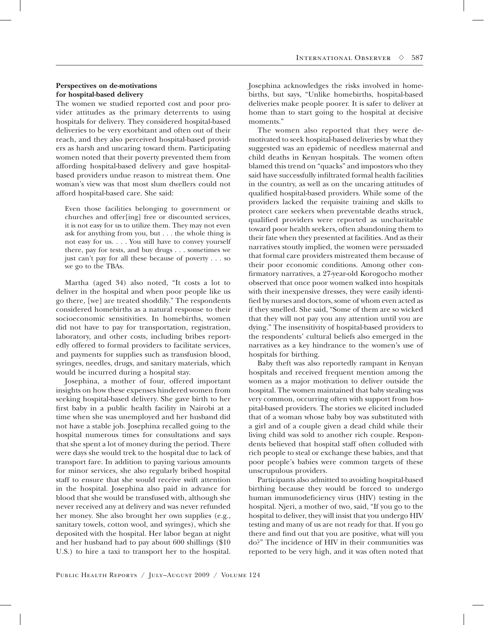### **Perspectives on de-motivations for hospital-based delivery**

The women we studied reported cost and poor provider attitudes as the primary deterrents to using hospitals for delivery. They considered hospital-based deliveries to be very exorbitant and often out of their reach, and they also perceived hospital-based providers as harsh and uncaring toward them. Participating women noted that their poverty prevented them from affording hospital-based delivery and gave hospitalbased providers undue reason to mistreat them. One woman's view was that most slum dwellers could not afford hospital-based care. She said:

Even those facilities belonging to government or churches and offer[ing] free or discounted services, it is not easy for us to utilize them. They may not even ask for anything from you, but . . . the whole thing is not easy for us. . . . You still have to convey yourself there, pay for tests, and buy drugs . . . sometimes we just can't pay for all these because of poverty . . . so we go to the TBAs.

Martha (aged 34) also noted, "It costs a lot to deliver in the hospital and when poor people like us go there, [we] are treated shoddily." The respondents considered homebirths as a natural response to their socioeconomic sensitivities. In homebirths, women did not have to pay for transportation, registration, laboratory, and other costs, including bribes reportedly offered to formal providers to facilitate services, and payments for supplies such as transfusion blood, syringes, needles, drugs, and sanitary materials, which would be incurred during a hospital stay.

Josephina, a mother of four, offered important insights on how these expenses hindered women from seeking hospital-based delivery. She gave birth to her first baby in a public health facility in Nairobi at a time when she was unemployed and her husband did not have a stable job. Josephina recalled going to the hospital numerous times for consultations and says that she spent a lot of money during the period. There were days she would trek to the hospital due to lack of transport fare. In addition to paying various amounts for minor services, she also regularly bribed hospital staff to ensure that she would receive swift attention in the hospital. Josephina also paid in advance for blood that she would be transfused with, although she never received any at delivery and was never refunded her money. She also brought her own supplies (e.g., sanitary towels, cotton wool, and syringes), which she deposited with the hospital. Her labor began at night and her husband had to pay about 600 shillings (\$10 U.S.) to hire a taxi to transport her to the hospital.

Josephina acknowledges the risks involved in homebirths, but says, "Unlike homebirths, hospital-based deliveries make people poorer. It is safer to deliver at home than to start going to the hospital at decisive moments."

The women also reported that they were demotivated to seek hospital-based deliveries by what they suggested was an epidemic of needless maternal and child deaths in Kenyan hospitals. The women often blamed this trend on "quacks" and impostors who they said have successfully infiltrated formal health facilities in the country, as well as on the uncaring attitudes of qualified hospital-based providers. While some of the providers lacked the requisite training and skills to protect care seekers when preventable deaths struck, qualified providers were reported as uncharitable toward poor health seekers, often abandoning them to their fate when they presented at facilities. And as their narratives stoutly implied, the women were persuaded that formal care providers mistreated them because of their poor economic conditions. Among other confirmatory narratives, a 27-year-old Korogocho mother observed that once poor women walked into hospitals with their inexpensive dresses, they were easily identified by nurses and doctors, some of whom even acted as if they smelled. She said, "Some of them are so wicked that they will not pay you any attention until you are dying." The insensitivity of hospital-based providers to the respondents' cultural beliefs also emerged in the narratives as a key hindrance to the women's use of hospitals for birthing.

Baby theft was also reportedly rampant in Kenyan hospitals and received frequent mention among the women as a major motivation to deliver outside the hospital. The women maintained that baby stealing was very common, occurring often with support from hospital-based providers. The stories we elicited included that of a woman whose baby boy was substituted with a girl and of a couple given a dead child while their living child was sold to another rich couple. Respondents believed that hospital staff often colluded with rich people to steal or exchange these babies, and that poor people's babies were common targets of these unscrupulous providers.

Participants also admitted to avoiding hospital-based birthing because they would be forced to undergo human immunodeficiency virus (HIV) testing in the hospital. Njeri, a mother of two, said, "If you go to the hospital to deliver, they will insist that you undergo HIV testing and many of us are not ready for that. If you go there and find out that you are positive, what will you do?" The incidence of HIV in their communities was reported to be very high, and it was often noted that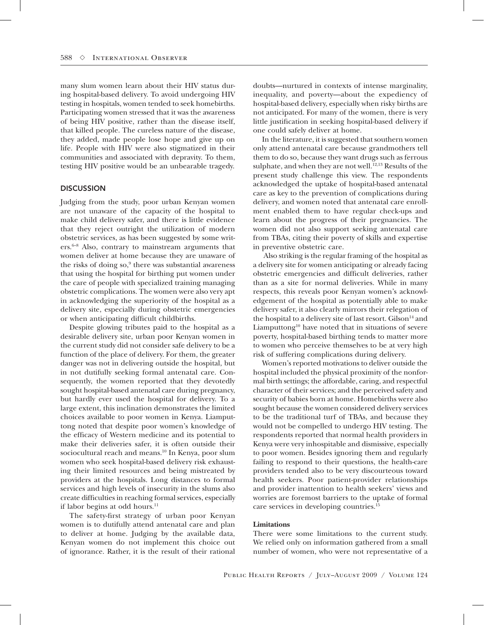many slum women learn about their HIV status during hospital-based delivery. To avoid undergoing HIV testing in hospitals, women tended to seek homebirths. Participating women stressed that it was the awareness of being HIV positive, rather than the disease itself, that killed people. The cureless nature of the disease, they added, made people lose hope and give up on life. People with HIV were also stigmatized in their communities and associated with depravity. To them, testing HIV positive would be an unbearable tragedy.

### **DISCUSSION**

Judging from the study, poor urban Kenyan women are not unaware of the capacity of the hospital to make child delivery safer, and there is little evidence that they reject outright the utilization of modern obstetric services, as has been suggested by some writers.6–8 Also, contrary to mainstream arguments that women deliver at home because they are unaware of the risks of doing so,<sup>9</sup> there was substantial awareness that using the hospital for birthing put women under the care of people with specialized training managing obstetric complications. The women were also very apt in acknowledging the superiority of the hospital as a delivery site, especially during obstetric emergencies or when anticipating difficult childbirths.

Despite glowing tributes paid to the hospital as a desirable delivery site, urban poor Kenyan women in the current study did not consider safe delivery to be a function of the place of delivery. For them, the greater danger was not in delivering outside the hospital, but in not dutifully seeking formal antenatal care. Consequently, the women reported that they devotedly sought hospital-based antenatal care during pregnancy, but hardly ever used the hospital for delivery. To a large extent, this inclination demonstrates the limited choices available to poor women in Kenya. Liamputtong noted that despite poor women's knowledge of the efficacy of Western medicine and its potential to make their deliveries safer, it is often outside their sociocultural reach and means.10 In Kenya, poor slum women who seek hospital-based delivery risk exhausting their limited resources and being mistreated by providers at the hospitals. Long distances to formal services and high levels of insecurity in the slums also create difficulties in reaching formal services, especially if labor begins at odd hours.<sup>11</sup>

The safety-first strategy of urban poor Kenyan women is to dutifully attend antenatal care and plan to deliver at home. Judging by the available data, Kenyan women do not implement this choice out of ignorance. Rather, it is the result of their rational doubts—nurtured in contexts of intense marginality, inequality, and poverty—about the expediency of hospital-based delivery, especially when risky births are not anticipated. For many of the women, there is very little justification in seeking hospital-based delivery if one could safely deliver at home.

In the literature, it is suggested that southern women only attend antenatal care because grandmothers tell them to do so, because they want drugs such as ferrous sulphate, and when they are not well.<sup>12,13</sup> Results of the present study challenge this view. The respondents acknowledged the uptake of hospital-based antenatal care as key to the prevention of complications during delivery, and women noted that antenatal care enrollment enabled them to have regular check-ups and learn about the progress of their pregnancies. The women did not also support seeking antenatal care from TBAs, citing their poverty of skills and expertise in preventive obstetric care.

 Also striking is the regular framing of the hospital as a delivery site for women anticipating or already facing obstetric emergencies and difficult deliveries, rather than as a site for normal deliveries. While in many respects, this reveals poor Kenyan women's acknowledgement of the hospital as potentially able to make delivery safer, it also clearly mirrors their relegation of the hospital to a delivery site of last resort. Gilson<sup>14</sup> and Liamputtong<sup>10</sup> have noted that in situations of severe poverty, hospital-based birthing tends to matter more to women who perceive themselves to be at very high risk of suffering complications during delivery.

Women's reported motivations to deliver outside the hospital included the physical proximity of the nonformal birth settings; the affordable, caring, and respectful character of their services; and the perceived safety and security of babies born at home. Homebirths were also sought because the women considered delivery services to be the traditional turf of TBAs, and because they would not be compelled to undergo HIV testing. The respondents reported that normal health providers in Kenya were very inhospitable and dismissive, especially to poor women. Besides ignoring them and regularly failing to respond to their questions, the health-care providers tended also to be very discourteous toward health seekers. Poor patient-provider relationships and provider inattention to health seekers' views and worries are foremost barriers to the uptake of formal care services in developing countries.15

#### **Limitations**

There were some limitations to the current study. We relied only on information gathered from a small number of women, who were not representative of a